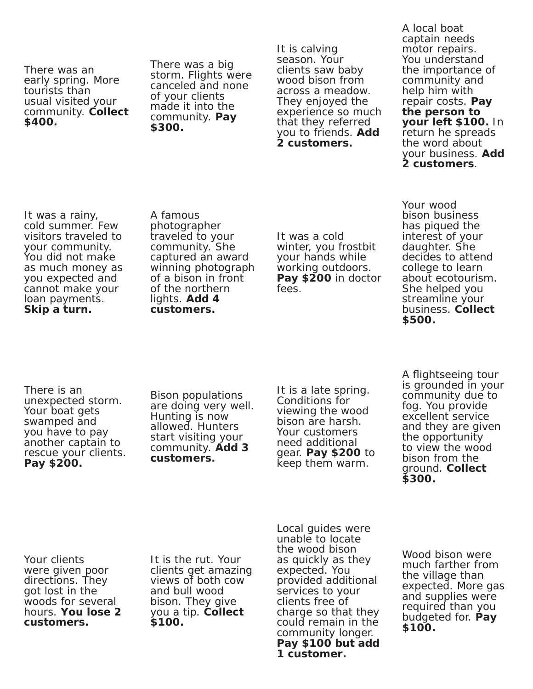There was an early spring. More tourists than usual visited your community. **Collect \$400.**

There was a big storm. Flights were canceled and none of your clients made it into the community. **Pay \$300.** 

It is calving season. Your clients saw baby wood bison from across a meadow. They enjoyed the experience so much that they referred you to friends. **Add 2 customers.** 

A local boat captain needs motor repairs. You understand the importance of community and help him with repair costs. **Pay the person to your left \$100.** In return he spreads the word about your business. **Add 2 customers**.

It was a rainy, cold summer. Few visitors traveled to your community. You did not make as much money as you expected and cannot make your loan payments. **Skip a turn.** 

A famous photographer traveled to your community. She captured an award winning photograph of a bison in front of the northern lights. **Add 4 customers.** 

It was a cold winter, you frostbit your hands while working outdoors. **Pay \$200** in doctor fees.

Your wood bison business has piqued the interest of your daughter. She decides to attend college to learn about ecotourism. She helped you streamline your business. **Collect \$500.** 

There is an unexpected storm. Your boat gets swamped and you have to pay another captain to rescue your clients. **Pay \$200.** 

Bison populations are doing very well. Hunting is now allowed. Hunters start visiting your community. **Add 3 customers.** 

It is a late spring. Conditions for viewing the wood bison are harsh. Your customers need additional gear. **Pay \$200** to keep them warm.

A flightseeing tour is grounded in your community due to fog. You provide excellent service and they are given the opportunity to view the wood bison from the ground. **Collect \$300.**

Your clients were given poor directions. They got lost in the woods for several hours. **You lose 2 customers.** 

It is the rut. Your clients get amazing views of both cow and bull wood bison. They give you a tip. **Collect \$100.** 

Local guides were unable to locate the wood bison as quickly as they expected. You provided additional services to your clients free of charge so that they could remain in the community longer. **Pay \$100 but add 1 customer.**

Wood bison were much farther from the village than expected. More gas and supplies were required than you budgeted for. **Pay \$100.**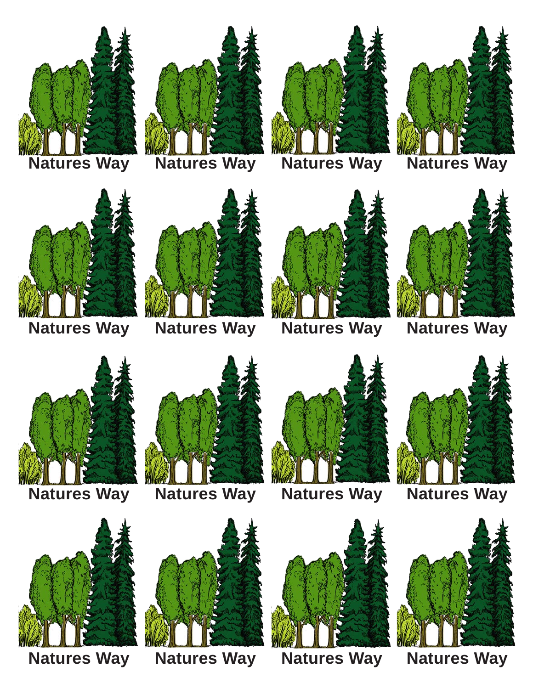

















**Natures Way Natures Way Natures Way Natures Way**







**Natures Way Natures Way Natures Way Natures Way**











**Natures Way Natures Way Natures Way Natures Way**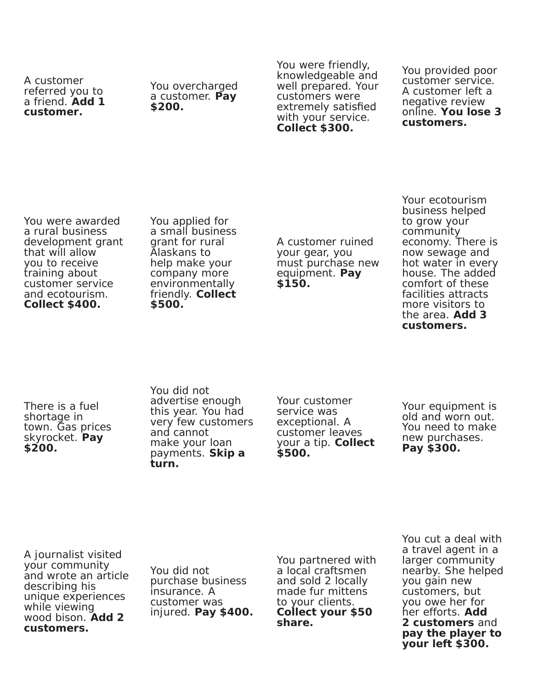A customer referred you to a friend. **Add 1 customer.**

You overcharged a customer. **Pay \$200.**

You were friendly, knowledgeable and well prepared. Your customers were extremely satisfied with your service. **Collect \$300.** 

You provided poor customer service. A customer left a negative review online. **You lose 3 customers.** 

You were awarded a rural business development grant that will allow you to receive training about customer service and ecotourism. **Collect \$400.**

You applied for a small business grant for rural Alaskans to help make your company more environmentally friendly. **Collect \$500.** 

A customer ruined your gear, you must purchase new equipment. **Pay \$150.**

Your ecotourism business helped to grow your community economy. There is now sewage and hot water in every house. The added comfort of these facilities attracts more visitors to the area. **Add 3 customers.** 

There is a fuel shortage in town. Gas prices skyrocket. **Pay \$200.**

You did not advertise enough this year. You had very few customers and cannot make your loan payments. **Skip a turn.** 

Your customer service was exceptional. A customer leaves your a tip. **Collect \$500.** 

Your equipment is old and worn out. You need to make new purchases. **Pay \$300.** 

A journalist visited your community and wrote an article describing his unique experiences while viewing wood bison. **Add 2 customers.** 

You did not purchase business insurance. A customer was injured. **Pay \$400.**  You partnered with a local craftsmen and sold 2 locally made fur mittens to your clients. **Collect your \$50 share.** 

You cut a deal with a travel agent in a larger community nearby. She helped you gain new customers, but you owe her for her efforts. **Add 2 customers** and **pay the player to your left \$300.**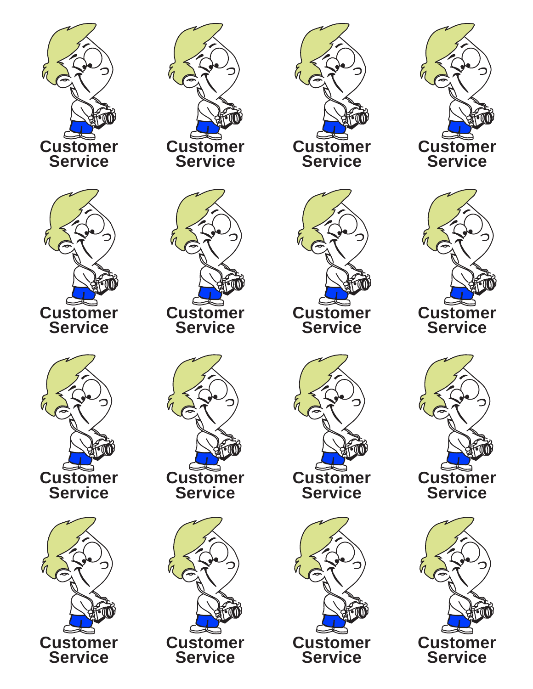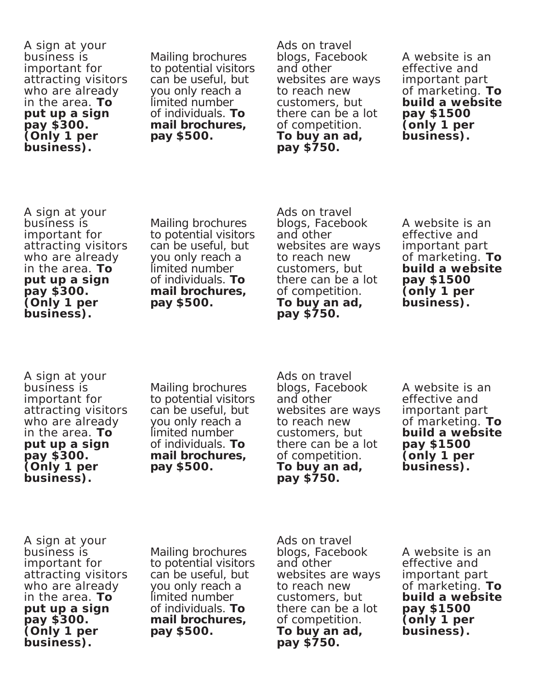A sign at your business is important for attracting visitors who are already in the area. **To put up a sign pay \$300. (Only 1 per business).**

Mailing brochures to potential visitors can be useful, but you only reach a limited number of individuals. **To mail brochures, pay \$500.** 

Ads on travel blogs, Facebook and other websites are ways to reach new customers, but there can be a lot of competition. **To buy an ad, pay \$750.** 

A website is an effective and important part of marketing. **To build a website pay \$1500 (only 1 per business).**

A sign at your business is important for attracting visitors who are already in the area. **To put up a sign pay \$300. (Only 1 per business).**

Mailing brochures to potential visitors can be useful, but you only reach a limited number of individuals. **To mail brochures, pay \$500.** 

Ads on travel blogs, Facebook and other websites are ways to reach new customers, but there can be a lot of competition. **To buy an ad, pay \$750.** 

A website is an effective and important part of marketing. **To build a website pay \$1500 (only 1 per business).**

A sign at your business is important for attracting visitors who are already in the area. **To put up a sign pay \$300. (Only 1 per business).**

Mailing brochures to potential visitors can be useful, but you only reach a limited number of individuals. **To mail brochures, pay \$500.** 

Ads on travel blogs, Facebook and other websites are ways to reach new customers, but there can be a lot of competition. **To buy an ad, pay \$750.** 

A website is an effective and important part of marketing. **To build a website pay \$1500 (only 1 per business).**

A sign at your business is important for attracting visitors who are already in the area. **To put up a sign pay \$300. (Only 1 per business).**

Mailing brochures to potential visitors can be useful, but you only reach a limited number of individuals. **To mail brochures, pay \$500.** 

Ads on travel blogs, Facebook and other websites are ways to reach new customers, but there can be a lot of competition. **To buy an ad, pay \$750.** 

A website is an effective and important part of marketing. **To build a website pay \$1500 (only 1 per business).**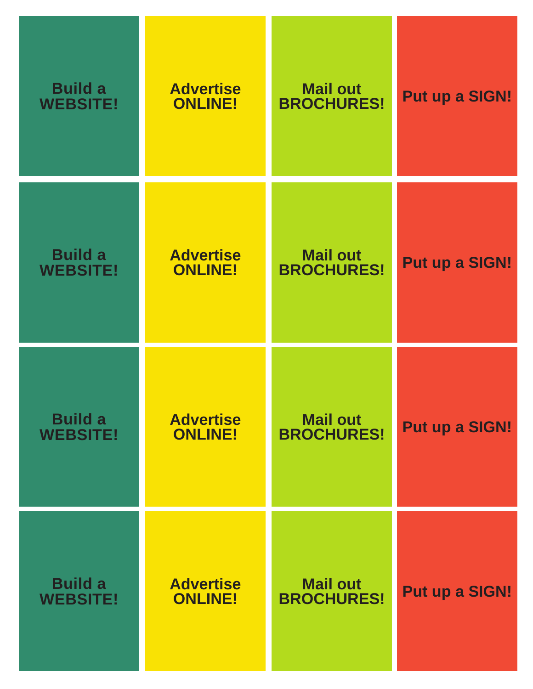| <b>Build a</b>  | <b>Advertise</b> | <b>Mail out</b>   | <b>Put up a SIGN!</b> |
|-----------------|------------------|-------------------|-----------------------|
| <b>WEBSITE!</b> | <b>ONLINE!</b>   | <b>BROCHURES!</b> |                       |
| <b>Build a</b>  | <b>Advertise</b> | <b>Mail out</b>   | <b>Put up a SIGN!</b> |
| <b>WEBSITE!</b> | <b>ONLINE!</b>   | <b>BROCHURES!</b> |                       |
| <b>Build a</b>  | <b>Advertise</b> | <b>Mail out</b>   | <b>Put up a SIGN!</b> |
| <b>WEBSITE!</b> | <b>ONLINE!</b>   | <b>BROCHURES!</b> |                       |
| <b>Build a</b>  | <b>Advertise</b> | <b>Mail out</b>   | <b>Put up a SIGN!</b> |
| <b>WEBSITE!</b> | <b>ONLINE!</b>   | <b>BROCHURES!</b> |                       |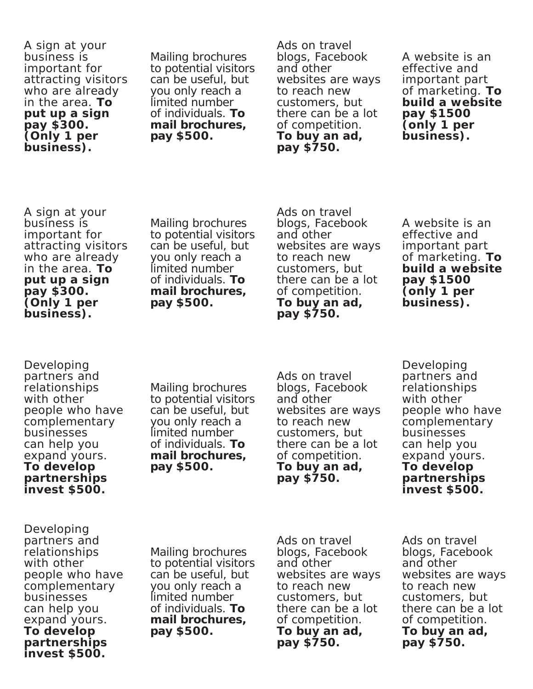A sign at your business is important for attracting visitors who are already in the area. **To put up a sign pay \$300. (Only 1 per business).**

Mailing brochures to potential visitors can be useful, but you only reach a limited number of individuals. **To mail brochures, pay \$500.** 

Ads on travel blogs, Facebook and other websites are ways to reach new customers, but there can be a lot of competition. **To buy an ad, pay \$750.** 

A website is an effective and important part of marketing. **To build a website pay \$1500 (only 1 per business).**

A sign at your business is important for attracting visitors who are already in the area. **To put up a sign pay \$300. (Only 1 per business).**

Mailing brochures to potential visitors can be useful, but you only reach a limited number of individuals. **To mail brochures, pay \$500.** 

Ads on travel blogs, Facebook and other websites are ways to reach new customers, but there can be a lot of competition. **To buy an ad, pay \$750.** 

A website is an effective and important part of marketing. **To build a website pay \$1500 (only 1 per business).**

Developing partners and relationships with other people who have complementary businesses can help you expand yours. **To develop partnerships invest \$500.**

Mailing brochures to potential visitors can be useful, but you only reach a limited number of individuals. **To mail brochures, pay \$500.** 

Ads on travel blogs, Facebook and other websites are ways to reach new customers, but there can be a lot of competition. **To buy an ad, pay \$750.** 

Developing partners and relationships with other people who have complementary businesses can help you expand yours. **To develop partnerships invest \$500.**

Developing partners and relationships with other people who have complementary businesses can help you expand yours. **To develop partnerships invest \$500.**

Mailing brochures to potential visitors can be useful, but you only reach a limited number of individuals. **To mail brochures, pay \$500.** 

Ads on travel blogs, Facebook and other websites are ways to reach new customers, but there can be a lot of competition. **To buy an ad, pay \$750.** 

Ads on travel blogs, Facebook and other websites are ways to reach new customers, but there can be a lot of competition. **To buy an ad, pay \$750.**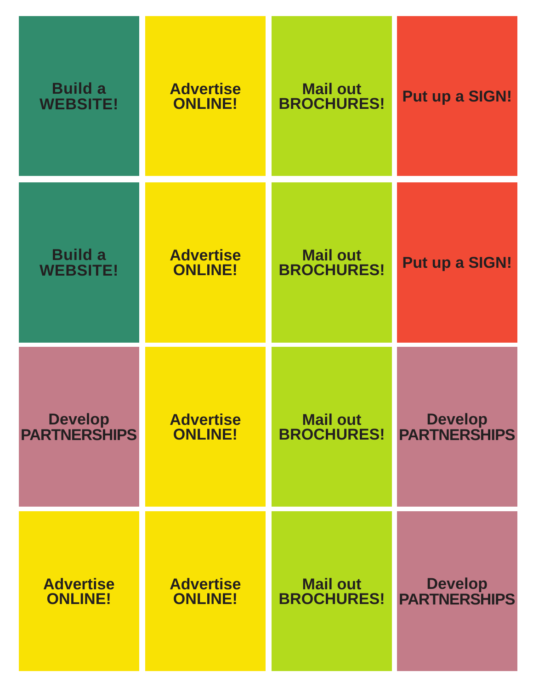| <b>Build a</b>      | <b>Advertise</b> | <b>Mail out</b>   | <b>Put up a SIGN!</b> |
|---------------------|------------------|-------------------|-----------------------|
| <b>WEBSITE!</b>     | <b>ONLINE!</b>   | <b>BROCHURES!</b> |                       |
| <b>Build a</b>      | <b>Advertise</b> | <b>Mail out</b>   | <b>Put up a SIGN!</b> |
| <b>WEBSITE!</b>     | <b>ONLINE!</b>   | <b>BROCHURES!</b> |                       |
| <b>Develop</b>      | <b>Advertise</b> | <b>Mail out</b>   | <b>Develop</b>        |
| <b>PARTNERSHIPS</b> | <b>ONLINE!</b>   | <b>BROCHURES!</b> | <b>PARTNERSHIPS</b>   |
| <b>Advertise</b>    | <b>Advertise</b> | <b>Mail out</b>   | <b>Develop</b>        |
| <b>ONLINE!</b>      | <b>ONLINE!</b>   | <b>BROCHURES!</b> | <b>PARTNERSHIPS</b>   |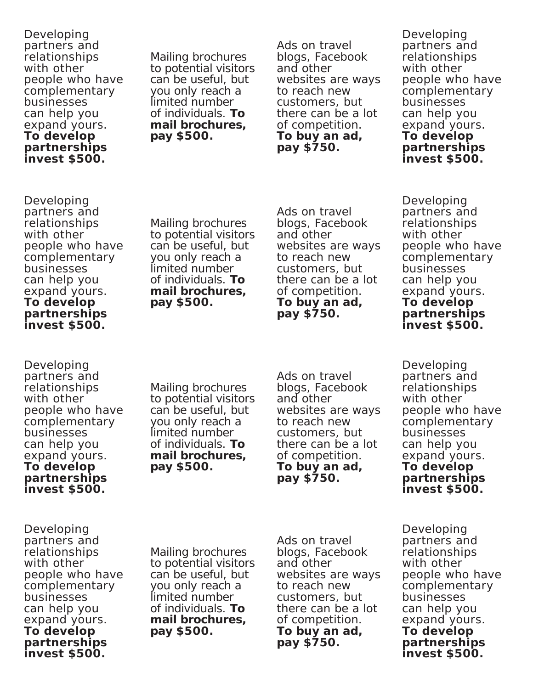Developing partners and relationships with other people who have complementary businesses can help you expand yours. **To develop partnerships invest \$500.**

Mailing brochures to potential visitors can be useful, but you only reach a limited number of individuals. **To mail brochures, pay \$500.** 

Ads on travel blogs, Facebook and other websites are ways to reach new customers, but there can be a lot of competition. **To buy an ad, pay \$750.** 

Developing partners and relationships with other people who have complementary businesses can help you expand yours. **To develop partnerships invest \$500.**

Developing partners and relationships with other people who have complementary businesses can help you expand yours. **To develop partnerships invest \$500.**

Mailing brochures to potential visitors can be useful, but you only reach a limited number of individuals. **To mail brochures, pay \$500.** 

Ads on travel blogs, Facebook and other websites are ways to reach new customers, but there can be a lot of competition. **To buy an ad, pay \$750.** 

Developing partners and relationships with other people who have complementary businesses can help you expand yours. **To develop partnerships invest \$500.**

Developing partners and relationships with other people who have complementary businesses can help you expand yours. **To develop partnerships invest \$500.**

Mailing brochures to potential visitors can be useful, but you only reach a limited number of individuals. **To mail brochures, pay \$500.** 

Ads on travel blogs, Facebook and other websites are ways to reach new customers, but there can be a lot of competition. **To buy an ad, pay \$750.** 

Developing partners and relationships with other people who have complementary businesses can help you expand yours. **To develop partnerships invest \$500.**

Developing partners and relationships with other people who have complementary businesses can help you expand yours. **To develop partnerships invest \$500.**

Mailing brochures to potential visitors can be useful, but you only reach a limited number of individuals. **To mail brochures, pay \$500.** 

Ads on travel blogs, Facebook and other websites are ways to reach new customers, but there can be a lot of competition. **To buy an ad, pay \$750.** 

Developing partners and relationships with other people who have complementary businesses can help you expand yours. **To develop partnerships invest \$500.**